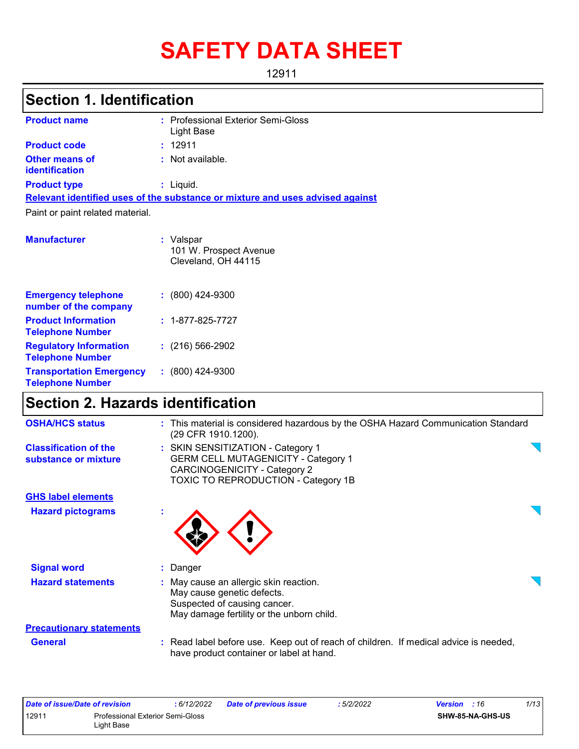# **SAFETY DATA SHEET**

12911

# **Section 1. Identification**

| <b>Product name</b>                     | : Professional Exterior Semi-Gloss<br>Light Base                              |
|-----------------------------------------|-------------------------------------------------------------------------------|
| <b>Product code</b>                     | : 12911                                                                       |
| <b>Other means of</b><br>identification | : Not available.                                                              |
| <b>Product type</b>                     | : Liguid.                                                                     |
|                                         | Relevant identified uses of the substance or mixture and uses advised against |
| Paint or paint related material.        |                                                                               |
| <b>Manufacturer</b>                     | : Valspar<br>101 W. Prospect Avenue<br>Cleveland, OH 44115                    |

| <b>Emergency telephone</b><br>number of the company        | $: (800)$ 424-9300       |
|------------------------------------------------------------|--------------------------|
| <b>Product Information</b><br><b>Telephone Number</b>      | $: 1 - 877 - 825 - 7727$ |
| <b>Regulatory Information</b><br><b>Telephone Number</b>   | $: (216) 566 - 2902$     |
| <b>Transportation Emergency</b><br><b>Telephone Number</b> | $: (800)$ 424-9300       |

# **Section 2. Hazards identification**

| <b>OSHA/HCS status</b>                               | : This material is considered hazardous by the OSHA Hazard Communication Standard<br>(29 CFR 1910.1200).                                                      |  |
|------------------------------------------------------|---------------------------------------------------------------------------------------------------------------------------------------------------------------|--|
| <b>Classification of the</b><br>substance or mixture | : SKIN SENSITIZATION - Category 1<br><b>GERM CELL MUTAGENICITY - Category 1</b><br>CARCINOGENICITY - Category 2<br><b>TOXIC TO REPRODUCTION - Category 1B</b> |  |
| <b>GHS label elements</b>                            |                                                                                                                                                               |  |
| <b>Hazard pictograms</b>                             |                                                                                                                                                               |  |
| <b>Signal word</b>                                   | : Danger                                                                                                                                                      |  |
| <b>Hazard statements</b>                             | : May cause an allergic skin reaction.<br>May cause genetic defects.<br>Suspected of causing cancer.<br>May damage fertility or the unborn child.             |  |
| <b>Precautionary statements</b>                      |                                                                                                                                                               |  |
| <b>General</b>                                       | : Read label before use. Keep out of reach of children. If medical advice is needed,<br>have product container or label at hand.                              |  |

|       | Date of issue/Date of revision          | : 6/12/2022 | <b>Date of previous issue</b> | : 5/2/2022 | <b>Version</b> : 16     | 1/13 |
|-------|-----------------------------------------|-------------|-------------------------------|------------|-------------------------|------|
| 12911 | <b>Professional Exterior Semi-Gloss</b> |             |                               |            | <b>SHW-85-NA-GHS-US</b> |      |
|       | Light Base                              |             |                               |            |                         |      |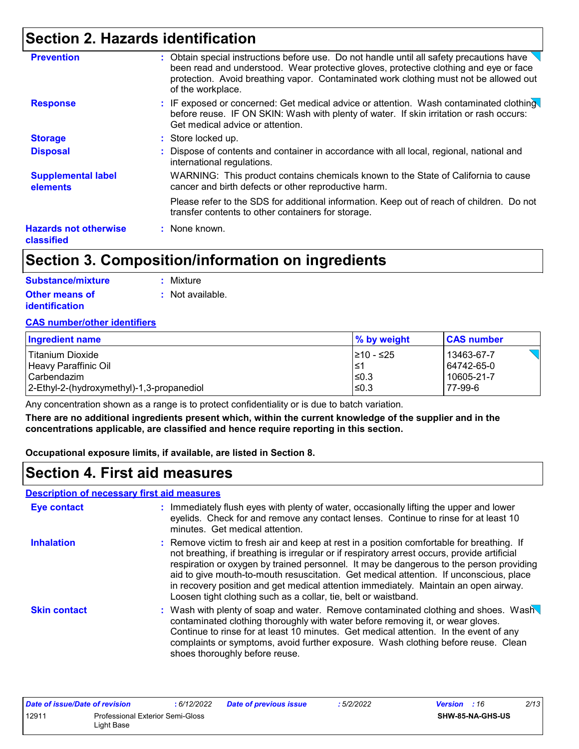### **Section 2. Hazards identification**

| <b>Prevention</b>                          | : Obtain special instructions before use. Do not handle until all safety precautions have<br>been read and understood. Wear protective gloves, protective clothing and eye or face<br>protection. Avoid breathing vapor. Contaminated work clothing must not be allowed out<br>of the workplace. |
|--------------------------------------------|--------------------------------------------------------------------------------------------------------------------------------------------------------------------------------------------------------------------------------------------------------------------------------------------------|
| <b>Response</b>                            | : IF exposed or concerned: Get medical advice or attention. Wash contaminated clothing<br>before reuse. IF ON SKIN: Wash with plenty of water. If skin irritation or rash occurs:<br>Get medical advice or attention.                                                                            |
| <b>Storage</b>                             | : Store locked up.                                                                                                                                                                                                                                                                               |
| <b>Disposal</b>                            | : Dispose of contents and container in accordance with all local, regional, national and<br>international regulations.                                                                                                                                                                           |
| <b>Supplemental label</b><br>elements      | WARNING: This product contains chemicals known to the State of California to cause<br>cancer and birth defects or other reproductive harm.                                                                                                                                                       |
|                                            | Please refer to the SDS for additional information. Keep out of reach of children. Do not<br>transfer contents to other containers for storage.                                                                                                                                                  |
| <b>Hazards not otherwise</b><br>classified | : None known.                                                                                                                                                                                                                                                                                    |

### **Section 3. Composition/information on ingredients**

| <b>Substance/mixture</b> | : Mixture        |
|--------------------------|------------------|
| <b>Other means of</b>    | : Not available. |
| <b>identification</b>    |                  |

#### **CAS number/other identifiers**

| Ingredient name                           | % by weight | <b>CAS number</b> |
|-------------------------------------------|-------------|-------------------|
| Titanium Dioxide                          | 1≥10 - ≤25  | 13463-67-7        |
| l Heavv Paraffinic Oil                    | 1≤1         | 64742-65-0        |
| l Carbendazim                             | l≤0.3       | 10605-21-7        |
| 2-Ethyl-2-(hydroxymethyl)-1,3-propanediol | l≤0.3       | 77-99-6           |

Any concentration shown as a range is to protect confidentiality or is due to batch variation.

**There are no additional ingredients present which, within the current knowledge of the supplier and in the concentrations applicable, are classified and hence require reporting in this section.**

**Occupational exposure limits, if available, are listed in Section 8.**

### **Section 4. First aid measures**

#### **Description of necessary first aid measures**

| <b>Eye contact</b>  | : Immediately flush eyes with plenty of water, occasionally lifting the upper and lower<br>eyelids. Check for and remove any contact lenses. Continue to rinse for at least 10<br>minutes. Get medical attention.                                                                                                                                                                                                                                                                                                                         |
|---------------------|-------------------------------------------------------------------------------------------------------------------------------------------------------------------------------------------------------------------------------------------------------------------------------------------------------------------------------------------------------------------------------------------------------------------------------------------------------------------------------------------------------------------------------------------|
| <b>Inhalation</b>   | : Remove victim to fresh air and keep at rest in a position comfortable for breathing. If<br>not breathing, if breathing is irregular or if respiratory arrest occurs, provide artificial<br>respiration or oxygen by trained personnel. It may be dangerous to the person providing<br>aid to give mouth-to-mouth resuscitation. Get medical attention. If unconscious, place<br>in recovery position and get medical attention immediately. Maintain an open airway.<br>Loosen tight clothing such as a collar, tie, belt or waistband. |
| <b>Skin contact</b> | : Wash with plenty of soap and water. Remove contaminated clothing and shoes. Wash<br>contaminated clothing thoroughly with water before removing it, or wear gloves.<br>Continue to rinse for at least 10 minutes. Get medical attention. In the event of any<br>complaints or symptoms, avoid further exposure. Wash clothing before reuse. Clean<br>shoes thoroughly before reuse.                                                                                                                                                     |

| Date of issue/Date of revision                   |  | : 6/12/2022 | <b>Date of previous issue</b> | : 5/2/2022              | 2/13<br><b>Version</b> : 16 |
|--------------------------------------------------|--|-------------|-------------------------------|-------------------------|-----------------------------|
| 12911<br><b>Professional Exterior Semi-Gloss</b> |  |             |                               | <b>SHW-85-NA-GHS-US</b> |                             |
| ∟iɑht Base                                       |  |             |                               |                         |                             |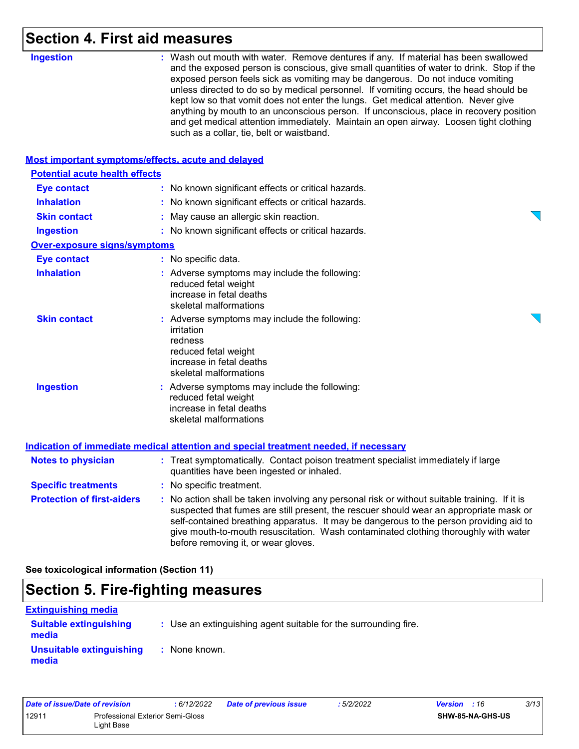# **Section 4. First aid measures**

| <b>Ingestion</b>                                   | : Wash out mouth with water. Remove dentures if any. If material has been swallowed<br>and the exposed person is conscious, give small quantities of water to drink. Stop if the<br>exposed person feels sick as vomiting may be dangerous. Do not induce vomiting<br>unless directed to do so by medical personnel. If vomiting occurs, the head should be<br>kept low so that vomit does not enter the lungs. Get medical attention. Never give<br>anything by mouth to an unconscious person. If unconscious, place in recovery position<br>and get medical attention immediately. Maintain an open airway. Loosen tight clothing<br>such as a collar, tie, belt or waistband. |
|----------------------------------------------------|-----------------------------------------------------------------------------------------------------------------------------------------------------------------------------------------------------------------------------------------------------------------------------------------------------------------------------------------------------------------------------------------------------------------------------------------------------------------------------------------------------------------------------------------------------------------------------------------------------------------------------------------------------------------------------------|
| Most important symptoms/effects, acute and delayed |                                                                                                                                                                                                                                                                                                                                                                                                                                                                                                                                                                                                                                                                                   |
| <b>Potential acute health effects</b>              |                                                                                                                                                                                                                                                                                                                                                                                                                                                                                                                                                                                                                                                                                   |
| <b>Eye contact</b>                                 | : No known significant effects or critical hazards.                                                                                                                                                                                                                                                                                                                                                                                                                                                                                                                                                                                                                               |
| <b>Inhalation</b>                                  | : No known significant effects or critical hazards.                                                                                                                                                                                                                                                                                                                                                                                                                                                                                                                                                                                                                               |
| <b>Skin contact</b>                                | : May cause an allergic skin reaction.                                                                                                                                                                                                                                                                                                                                                                                                                                                                                                                                                                                                                                            |
| <b>Ingestion</b>                                   | : No known significant effects or critical hazards.                                                                                                                                                                                                                                                                                                                                                                                                                                                                                                                                                                                                                               |
| <b>Over-exposure signs/symptoms</b>                |                                                                                                                                                                                                                                                                                                                                                                                                                                                                                                                                                                                                                                                                                   |
| <b>Eye contact</b>                                 | : No specific data.                                                                                                                                                                                                                                                                                                                                                                                                                                                                                                                                                                                                                                                               |
| <b>Inhalation</b>                                  | : Adverse symptoms may include the following:<br>reduced fetal weight<br>increase in fetal deaths<br>skeletal malformations                                                                                                                                                                                                                                                                                                                                                                                                                                                                                                                                                       |
| <b>Skin contact</b>                                | : Adverse symptoms may include the following:<br>irritation<br>redness<br>reduced fetal weight<br>increase in fetal deaths<br>skeletal malformations                                                                                                                                                                                                                                                                                                                                                                                                                                                                                                                              |
| <b>Ingestion</b>                                   | : Adverse symptoms may include the following:<br>reduced fetal weight<br>increase in fetal deaths<br>skeletal malformations                                                                                                                                                                                                                                                                                                                                                                                                                                                                                                                                                       |
|                                                    | <b>Indication of immediate medical attention and special treatment needed, if necessary</b>                                                                                                                                                                                                                                                                                                                                                                                                                                                                                                                                                                                       |
| <b>Notes to physician</b>                          | : Treat symptomatically. Contact poison treatment specialist immediately if large<br>quantities have been ingested or inhaled.                                                                                                                                                                                                                                                                                                                                                                                                                                                                                                                                                    |
| <b>Specific treatments</b>                         | No specific treatment.                                                                                                                                                                                                                                                                                                                                                                                                                                                                                                                                                                                                                                                            |
| <b>Protection of first-aiders</b>                  | : No action shall be taken involving any personal risk or without suitable training. If it is<br>suspected that fumes are still present, the rescuer should wear an appropriate mask or<br>self-contained breathing apparatus. It may be dangerous to the person providing aid to<br>give mouth-to-mouth resuscitation. Wash contaminated clothing thoroughly with water<br>before removing it, or wear gloves.                                                                                                                                                                                                                                                                   |

**See toxicological information (Section 11)**

### **Section 5. Fire-fighting measures**

| <b>Extinguishing media</b>             |                                                                 |
|----------------------------------------|-----------------------------------------------------------------|
| <b>Suitable extinguishing</b><br>media | : Use an extinguishing agent suitable for the surrounding fire. |
| Unsuitable extinguishing<br>media      | : None known.                                                   |

| Date of issue/Date of revision                                 |  | : 6/12/2022 | <b>Date of previous issue</b> | : 5/2/2022 | <b>Version</b> : 16 | 3/13 |
|----------------------------------------------------------------|--|-------------|-------------------------------|------------|---------------------|------|
| 12911<br><b>Professional Exterior Semi-Gloss</b><br>Light Base |  |             | <b>SHW-85-NA-GHS-US</b>       |            |                     |      |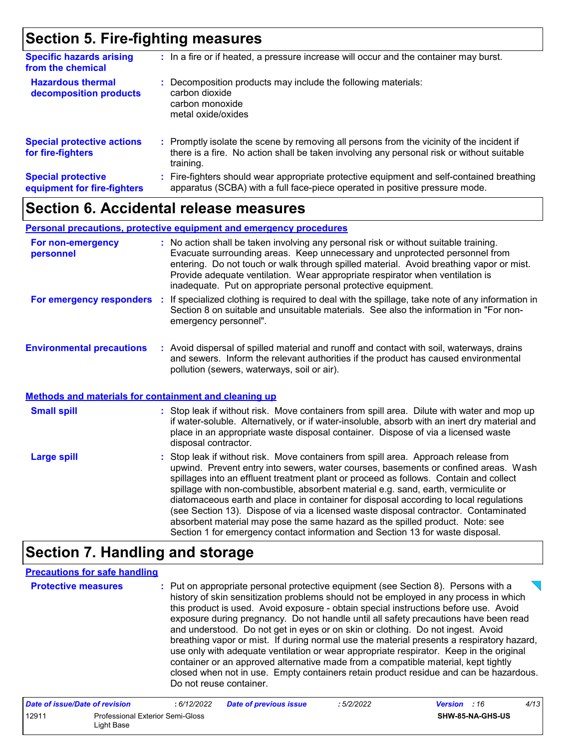### **Section 5. Fire-fighting measures**

| <b>Specific hazards arising</b><br>from the chemical     | : In a fire or if heated, a pressure increase will occur and the container may burst.                                                                                                               |
|----------------------------------------------------------|-----------------------------------------------------------------------------------------------------------------------------------------------------------------------------------------------------|
| <b>Hazardous thermal</b><br>decomposition products       | : Decomposition products may include the following materials:<br>carbon dioxide<br>carbon monoxide<br>metal oxide/oxides                                                                            |
| <b>Special protective actions</b><br>for fire-fighters   | : Promptly isolate the scene by removing all persons from the vicinity of the incident if<br>there is a fire. No action shall be taken involving any personal risk or without suitable<br>training. |
| <b>Special protective</b><br>equipment for fire-fighters | Fire-fighters should wear appropriate protective equipment and self-contained breathing<br>÷.<br>apparatus (SCBA) with a full face-piece operated in positive pressure mode.                        |

### **Section 6. Accidental release measures**

#### **Personal precautions, protective equipment and emergency procedures**

| For non-emergency<br>personnel                        | : No action shall be taken involving any personal risk or without suitable training.<br>Evacuate surrounding areas. Keep unnecessary and unprotected personnel from<br>entering. Do not touch or walk through spilled material. Avoid breathing vapor or mist.<br>Provide adequate ventilation. Wear appropriate respirator when ventilation is<br>inadequate. Put on appropriate personal protective equipment. |
|-------------------------------------------------------|------------------------------------------------------------------------------------------------------------------------------------------------------------------------------------------------------------------------------------------------------------------------------------------------------------------------------------------------------------------------------------------------------------------|
| For emergency responders                              | : If specialized clothing is required to deal with the spillage, take note of any information in<br>Section 8 on suitable and unsuitable materials. See also the information in "For non-<br>emergency personnel".                                                                                                                                                                                               |
| <b>Environmental precautions</b>                      | : Avoid dispersal of spilled material and runoff and contact with soil, waterways, drains<br>and sewers. Inform the relevant authorities if the product has caused environmental<br>pollution (sewers, waterways, soil or air).                                                                                                                                                                                  |
| Methods and materials for containment and cleaning up |                                                                                                                                                                                                                                                                                                                                                                                                                  |

#### Stop leak if without risk. Move containers from spill area. Dilute with water and mop up if water-soluble. Alternatively, or if water-insoluble, absorb with an inert dry material and place in an appropriate waste disposal container. Dispose of via a licensed waste **Small spill :**

: Stop leak if without risk. Move containers from spill area. Approach release from upwind. Prevent entry into sewers, water courses, basements or confined areas. Wash spillages into an effluent treatment plant or proceed as follows. Contain and collect spillage with non-combustible, absorbent material e.g. sand, earth, vermiculite or diatomaceous earth and place in container for disposal according to local regulations (see Section 13). Dispose of via a licensed waste disposal contractor. Contaminated absorbent material may pose the same hazard as the spilled product. Note: see Section 1 for emergency contact information and Section 13 for waste disposal. **Large spill :** disposal contractor.

### **Section 7. Handling and storage**

#### **Precautions for safe handling**

| history of skin sensitization problems should not be employed in any process in which | this product is used. Avoid exposure - obtain special instructions before use. Avoid<br>exposure during pregnancy. Do not handle until all safety precautions have been read<br>and understood. Do not get in eyes or on skin or clothing. Do not ingest. Avoid<br>breathing vapor or mist. If during normal use the material presents a respiratory hazard,<br>use only with adequate ventilation or wear appropriate respirator. Keep in the original<br>container or an approved alternative made from a compatible material, kept tightly<br>closed when not in use. Empty containers retain product residue and can be hazardous.<br>Do not reuse container. |
|---------------------------------------------------------------------------------------|-------------------------------------------------------------------------------------------------------------------------------------------------------------------------------------------------------------------------------------------------------------------------------------------------------------------------------------------------------------------------------------------------------------------------------------------------------------------------------------------------------------------------------------------------------------------------------------------------------------------------------------------------------------------|
|---------------------------------------------------------------------------------------|-------------------------------------------------------------------------------------------------------------------------------------------------------------------------------------------------------------------------------------------------------------------------------------------------------------------------------------------------------------------------------------------------------------------------------------------------------------------------------------------------------------------------------------------------------------------------------------------------------------------------------------------------------------------|

| Date of issue/Date of revision |                                                | : 6/12/2022 | <b>Date of previous issue</b> | : 5/2/2022 | <b>Version</b> : 16 |                         | 4/13 |
|--------------------------------|------------------------------------------------|-------------|-------------------------------|------------|---------------------|-------------------------|------|
| 12911                          | Professional Exterior Semi-Gloss<br>Light Base |             |                               |            |                     | <b>SHW-85-NA-GHS-US</b> |      |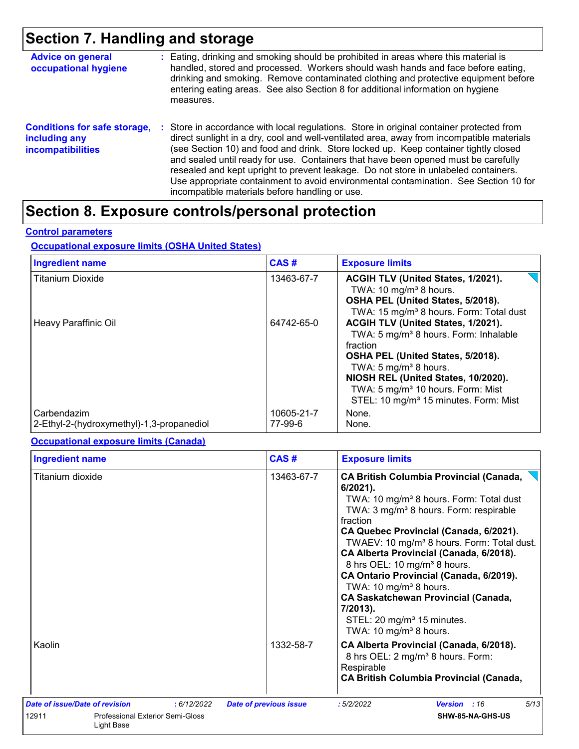## **Section 7. Handling and storage**

| <b>Advice on general</b><br>occupational hygiene                                 | : Eating, drinking and smoking should be prohibited in areas where this material is<br>handled, stored and processed. Workers should wash hands and face before eating,<br>drinking and smoking. Remove contaminated clothing and protective equipment before<br>entering eating areas. See also Section 8 for additional information on hygiene<br>measures.                                                                                                                                                                                                                                       |
|----------------------------------------------------------------------------------|-----------------------------------------------------------------------------------------------------------------------------------------------------------------------------------------------------------------------------------------------------------------------------------------------------------------------------------------------------------------------------------------------------------------------------------------------------------------------------------------------------------------------------------------------------------------------------------------------------|
| <b>Conditions for safe storage,</b><br>including any<br><b>incompatibilities</b> | : Store in accordance with local regulations. Store in original container protected from<br>direct sunlight in a dry, cool and well-ventilated area, away from incompatible materials<br>(see Section 10) and food and drink. Store locked up. Keep container tightly closed<br>and sealed until ready for use. Containers that have been opened must be carefully<br>resealed and kept upright to prevent leakage. Do not store in unlabeled containers.<br>Use appropriate containment to avoid environmental contamination. See Section 10 for<br>incompatible materials before handling or use. |

# **Section 8. Exposure controls/personal protection**

#### **Control parameters**

#### **Occupational exposure limits (OSHA United States)**

| <b>Ingredient name</b>                                   | CAS#                  | <b>Exposure limits</b>                                                                                                                                                                                                                                                                                                     |
|----------------------------------------------------------|-----------------------|----------------------------------------------------------------------------------------------------------------------------------------------------------------------------------------------------------------------------------------------------------------------------------------------------------------------------|
| <b>Titanium Dioxide</b>                                  | 13463-67-7            | ACGIH TLV (United States, 1/2021).<br>TWA: 10 mg/m <sup>3</sup> 8 hours.<br>OSHA PEL (United States, 5/2018).<br>TWA: 15 mg/m <sup>3</sup> 8 hours. Form: Total dust                                                                                                                                                       |
| Heavy Paraffinic Oil                                     | 64742-65-0            | ACGIH TLV (United States, 1/2021).<br>TWA: 5 mg/m <sup>3</sup> 8 hours. Form: Inhalable<br>fraction<br>OSHA PEL (United States, 5/2018).<br>TWA: 5 mg/m <sup>3</sup> 8 hours.<br>NIOSH REL (United States, 10/2020).<br>TWA: 5 mg/m <sup>3</sup> 10 hours. Form: Mist<br>STEL: 10 mg/m <sup>3</sup> 15 minutes. Form: Mist |
| Carbendazim<br>2-Ethyl-2-(hydroxymethyl)-1,3-propanediol | 10605-21-7<br>77-99-6 | None.<br>None.                                                                                                                                                                                                                                                                                                             |

#### **Occupational exposure limits (Canada)**

| <b>Ingredient name</b>                                         |            | CAS#                          | <b>Exposure limits</b>                                                                                                                                                                                                                                                                                                                                                                                                                                                                                                                                                                                       |
|----------------------------------------------------------------|------------|-------------------------------|--------------------------------------------------------------------------------------------------------------------------------------------------------------------------------------------------------------------------------------------------------------------------------------------------------------------------------------------------------------------------------------------------------------------------------------------------------------------------------------------------------------------------------------------------------------------------------------------------------------|
| Titanium dioxide                                               |            | 13463-67-7                    | <b>CA British Columbia Provincial (Canada,</b><br>$6/2021$ ).<br>TWA: 10 mg/m <sup>3</sup> 8 hours. Form: Total dust<br>TWA: 3 mg/m <sup>3</sup> 8 hours. Form: respirable<br>fraction<br>CA Quebec Provincial (Canada, 6/2021).<br>TWAEV: 10 mg/m <sup>3</sup> 8 hours. Form: Total dust.<br>CA Alberta Provincial (Canada, 6/2018).<br>8 hrs OEL: 10 mg/m <sup>3</sup> 8 hours.<br>CA Ontario Provincial (Canada, 6/2019).<br>TWA: 10 mg/m <sup>3</sup> 8 hours.<br><b>CA Saskatchewan Provincial (Canada,</b><br>7/2013).<br>STEL: 20 mg/m <sup>3</sup> 15 minutes.<br>TWA: 10 mg/m <sup>3</sup> 8 hours. |
| Kaolin                                                         |            | 1332-58-7                     | CA Alberta Provincial (Canada, 6/2018).<br>8 hrs OEL: 2 mg/m <sup>3</sup> 8 hours. Form:<br>Respirable<br><b>CA British Columbia Provincial (Canada,</b>                                                                                                                                                                                                                                                                                                                                                                                                                                                     |
| Date of issue/Date of revision                                 | :6/12/2022 | <b>Date of previous issue</b> | 5/13<br>:5/2/2022<br>Version : 16                                                                                                                                                                                                                                                                                                                                                                                                                                                                                                                                                                            |
| 12911<br><b>Professional Exterior Semi-Gloss</b><br>Light Base |            |                               | SHW-85-NA-GHS-US                                                                                                                                                                                                                                                                                                                                                                                                                                                                                                                                                                                             |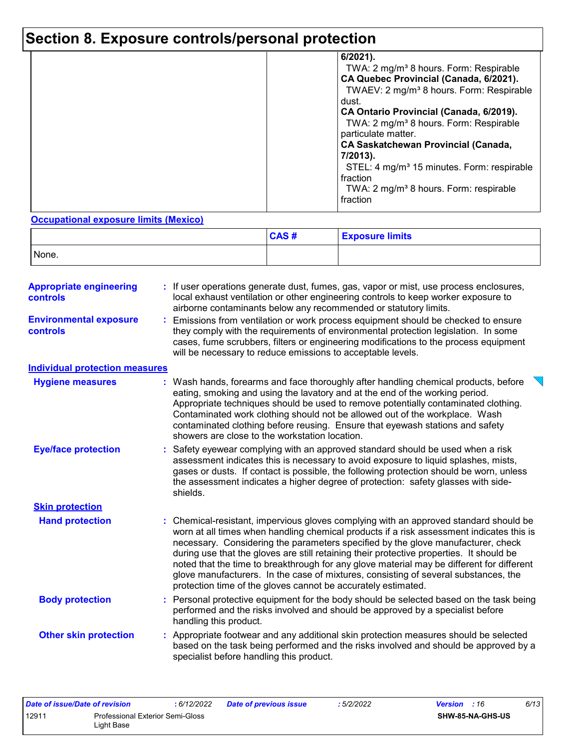# **Section 8. Exposure controls/personal protection**

| $6/2021$ ).<br>TWA: 2 mg/m <sup>3</sup> 8 hours. Form: Respirable<br>CA Quebec Provincial (Canada, 6/2021).<br>TWAEV: 2 mg/m <sup>3</sup> 8 hours. Form: Respirable<br>dust.<br>CA Ontario Provincial (Canada, 6/2019).<br>TWA: 2 mg/m <sup>3</sup> 8 hours. Form: Respirable<br>particulate matter.<br><b>CA Saskatchewan Provincial (Canada,</b><br>7/2013).<br>STEL: 4 mg/m <sup>3</sup> 15 minutes. Form: respirable |
|--------------------------------------------------------------------------------------------------------------------------------------------------------------------------------------------------------------------------------------------------------------------------------------------------------------------------------------------------------------------------------------------------------------------------|
| fraction<br>TWA: 2 mg/m <sup>3</sup> 8 hours. Form: respirable<br>fraction                                                                                                                                                                                                                                                                                                                                               |

#### **Occupational exposure limits (Mexico)**

|       | CAS# | <b>Exposure limits</b> |
|-------|------|------------------------|
| None. |      |                        |

| <b>Appropriate engineering</b><br><b>controls</b> | : If user operations generate dust, fumes, gas, vapor or mist, use process enclosures,<br>local exhaust ventilation or other engineering controls to keep worker exposure to<br>airborne contaminants below any recommended or statutory limits.                                                                                                                                                                                                                                                                                                                                                                       |
|---------------------------------------------------|------------------------------------------------------------------------------------------------------------------------------------------------------------------------------------------------------------------------------------------------------------------------------------------------------------------------------------------------------------------------------------------------------------------------------------------------------------------------------------------------------------------------------------------------------------------------------------------------------------------------|
| <b>Environmental exposure</b><br><b>controls</b>  | Emissions from ventilation or work process equipment should be checked to ensure<br>they comply with the requirements of environmental protection legislation. In some<br>cases, fume scrubbers, filters or engineering modifications to the process equipment<br>will be necessary to reduce emissions to acceptable levels.                                                                                                                                                                                                                                                                                          |
| <b>Individual protection measures</b>             |                                                                                                                                                                                                                                                                                                                                                                                                                                                                                                                                                                                                                        |
| <b>Hygiene measures</b>                           | : Wash hands, forearms and face thoroughly after handling chemical products, before<br>eating, smoking and using the lavatory and at the end of the working period.<br>Appropriate techniques should be used to remove potentially contaminated clothing.<br>Contaminated work clothing should not be allowed out of the workplace. Wash<br>contaminated clothing before reusing. Ensure that eyewash stations and safety<br>showers are close to the workstation location.                                                                                                                                            |
| <b>Eye/face protection</b>                        | Safety eyewear complying with an approved standard should be used when a risk<br>assessment indicates this is necessary to avoid exposure to liquid splashes, mists,<br>gases or dusts. If contact is possible, the following protection should be worn, unless<br>the assessment indicates a higher degree of protection: safety glasses with side-<br>shields.                                                                                                                                                                                                                                                       |
| <b>Skin protection</b>                            |                                                                                                                                                                                                                                                                                                                                                                                                                                                                                                                                                                                                                        |
| <b>Hand protection</b>                            | : Chemical-resistant, impervious gloves complying with an approved standard should be<br>worn at all times when handling chemical products if a risk assessment indicates this is<br>necessary. Considering the parameters specified by the glove manufacturer, check<br>during use that the gloves are still retaining their protective properties. It should be<br>noted that the time to breakthrough for any glove material may be different for different<br>glove manufacturers. In the case of mixtures, consisting of several substances, the<br>protection time of the gloves cannot be accurately estimated. |
| <b>Body protection</b>                            | Personal protective equipment for the body should be selected based on the task being<br>performed and the risks involved and should be approved by a specialist before<br>handling this product.                                                                                                                                                                                                                                                                                                                                                                                                                      |
| <b>Other skin protection</b>                      | Appropriate footwear and any additional skin protection measures should be selected<br>based on the task being performed and the risks involved and should be approved by a<br>specialist before handling this product.                                                                                                                                                                                                                                                                                                                                                                                                |

| Date of issue/Date of revision |                                  | : 6/12/2022 | <b>Date of previous issue</b> | : 5/2/2022 | <b>Version</b> : 16 |                         | 6/13 |
|--------------------------------|----------------------------------|-------------|-------------------------------|------------|---------------------|-------------------------|------|
| 1291'                          | Professional Exterior Semi-Gloss |             |                               |            |                     | <b>SHW-85-NA-GHS-US</b> |      |
|                                | ∟iɑht Base                       |             |                               |            |                     |                         |      |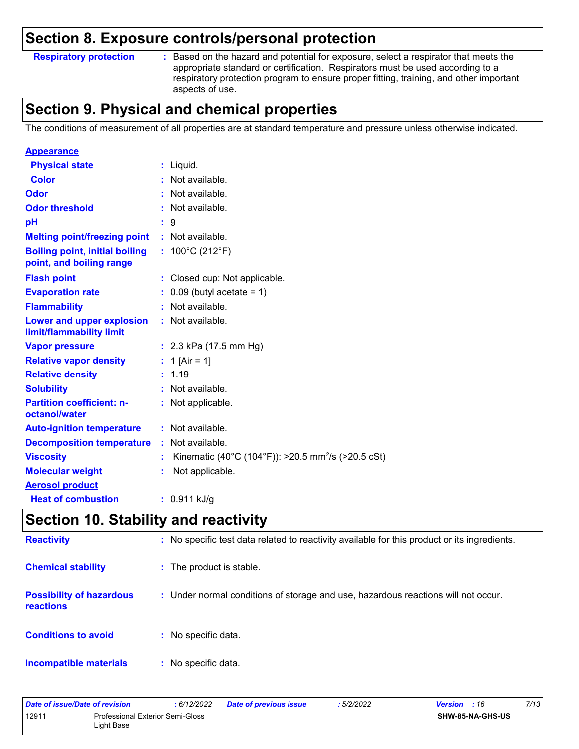### **Section 8. Exposure controls/personal protection**

#### **Respiratory protection :**

: Based on the hazard and potential for exposure, select a respirator that meets the appropriate standard or certification. Respirators must be used according to a respiratory protection program to ensure proper fitting, training, and other important aspects of use.

### **Section 9. Physical and chemical properties**

The conditions of measurement of all properties are at standard temperature and pressure unless otherwise indicated.

| <b>Appearance</b>                                                 |                                                                |
|-------------------------------------------------------------------|----------------------------------------------------------------|
| <b>Physical state</b>                                             | $:$ Liquid.                                                    |
| <b>Color</b>                                                      | : Not available.                                               |
| Odor                                                              | : Not available.                                               |
| <b>Odor threshold</b>                                             | Not available.                                                 |
| pH                                                                | : 9                                                            |
| <b>Melting point/freezing point</b>                               | : Not available.                                               |
| <b>Boiling point, initial boiling</b><br>point, and boiling range | : $100^{\circ}$ C (212 $^{\circ}$ F)                           |
| <b>Flash point</b>                                                | : Closed cup: Not applicable.                                  |
| <b>Evaporation rate</b>                                           | $\therefore$ 0.09 (butyl acetate = 1)                          |
| <b>Flammability</b>                                               | : Not available.                                               |
| Lower and upper explosion<br>limit/flammability limit             | : Not available.                                               |
| <b>Vapor pressure</b>                                             | : $2.3$ kPa (17.5 mm Hg)                                       |
| <b>Relative vapor density</b>                                     | : 1 [Air = 1]                                                  |
| <b>Relative density</b>                                           | : 1.19                                                         |
| <b>Solubility</b>                                                 | : Not available.                                               |
| <b>Partition coefficient: n-</b><br>octanol/water                 | : Not applicable.                                              |
| <b>Auto-ignition temperature</b>                                  | : Not available.                                               |
| <b>Decomposition temperature</b>                                  | : Not available.                                               |
| <b>Viscosity</b>                                                  | Kinematic (40°C (104°F)): >20.5 mm <sup>2</sup> /s (>20.5 cSt) |
| <b>Molecular weight</b>                                           | Not applicable.                                                |
| <b>Aerosol product</b>                                            |                                                                |
| <b>Heat of combustion</b>                                         | $: 0.911$ kJ/g                                                 |
|                                                                   |                                                                |

### **Section 10. Stability and reactivity**

| <b>Reactivity</b>                                   | : No specific test data related to reactivity available for this product or its ingredients. |
|-----------------------------------------------------|----------------------------------------------------------------------------------------------|
| <b>Chemical stability</b>                           | : The product is stable.                                                                     |
| <b>Possibility of hazardous</b><br><b>reactions</b> | : Under normal conditions of storage and use, hazardous reactions will not occur.            |
| <b>Conditions to avoid</b>                          | : No specific data.                                                                          |
| Incompatible materials                              | : No specific data.                                                                          |

| Date of issue/Date of revision |                                                       | 6/12/2022 | <b>Date of previous issue</b> | : 5/2/2022 | <b>Version</b> : 16     | 7/13 |
|--------------------------------|-------------------------------------------------------|-----------|-------------------------------|------------|-------------------------|------|
| 1291'                          | <b>Professional Exterior Semi-Gloss</b><br>∟ight Base |           |                               |            | <b>SHW-85-NA-GHS-US</b> |      |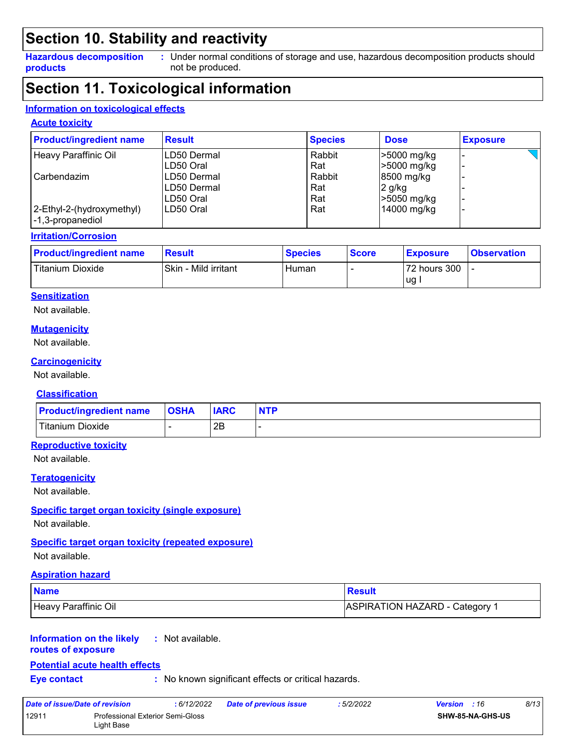### **Section 10. Stability and reactivity**

#### **Hazardous decomposition products**

Under normal conditions of storage and use, hazardous decomposition products should **:** not be produced.

### **Section 11. Toxicological information**

#### **Information on toxicological effects**

#### **Acute toxicity**

| <b>Product/ingredient name</b>                | <b>Result</b> | <b>Species</b> | <b>Dose</b>       | <b>Exposure</b> |
|-----------------------------------------------|---------------|----------------|-------------------|-----------------|
| Heavy Paraffinic Oil                          | LD50 Dermal   | Rabbit         | >5000 mg/kg       |                 |
|                                               | ILD50 Oral    | Rat            | >5000 mg/kg       |                 |
| Carbendazim                                   | ILD50 Dermal  | Rabbit         | 8500 mg/kg        |                 |
|                                               | ILD50 Dermal  | Rat            | 2 g/kg            |                 |
|                                               | ILD50 Oral    | Rat            | $\geq 5050$ mg/kg |                 |
| 2-Ethyl-2-(hydroxymethyl)<br>-1,3-propanediol | LD50 Oral     | Rat            | 14000 mg/kg       |                 |

#### **Irritation/Corrosion**

| <b>Product/ingredient name</b> | Result               | <b>Species</b> | <b>Score</b> | <b>Exposure</b> | <b>Observation</b> |
|--------------------------------|----------------------|----------------|--------------|-----------------|--------------------|
| Titanium Dioxide               | Skin - Mild irritant | Human          |              | 72 hours 300    |                    |
|                                |                      |                |              | ug              |                    |

#### **Sensitization**

Not available.

#### **Mutagenicity**

Not available.

#### **Carcinogenicity**

Not available.

#### **Classification**

| <b>Product/ingredient name</b> | <b>OSHA</b> | <b>IARC</b> | <b>NTP</b> |
|--------------------------------|-------------|-------------|------------|
| Titanium Dioxide               |             | 2Β          |            |

#### **Reproductive toxicity**

Not available.

#### **Teratogenicity**

Not available.

#### **Specific target organ toxicity (single exposure)**

Not available.

#### **Specific target organ toxicity (repeated exposure)**

Not available.

#### **Aspiration hazard**

| <b>Name</b>          | <b>Result</b>                         |
|----------------------|---------------------------------------|
| Heavy Paraffinic Oil | <b>ASPIRATION HAZARD - Category 1</b> |

#### **Information on the likely :** Not available.

#### **routes of exposure**

#### **Potential acute health effects**

**Eye contact :** No known significant effects or critical hazards.

| Date of issue/Date of revision |                                                       | : 6/12/2022 | <b>Date of previous issue</b> | : 5/2/2022 | 8/13<br><b>Version</b> : 16 |
|--------------------------------|-------------------------------------------------------|-------------|-------------------------------|------------|-----------------------------|
| 12911                          | <b>Professional Exterior Semi-Gloss</b><br>Light Base |             |                               |            | <b>SHW-85-NA-GHS-US</b>     |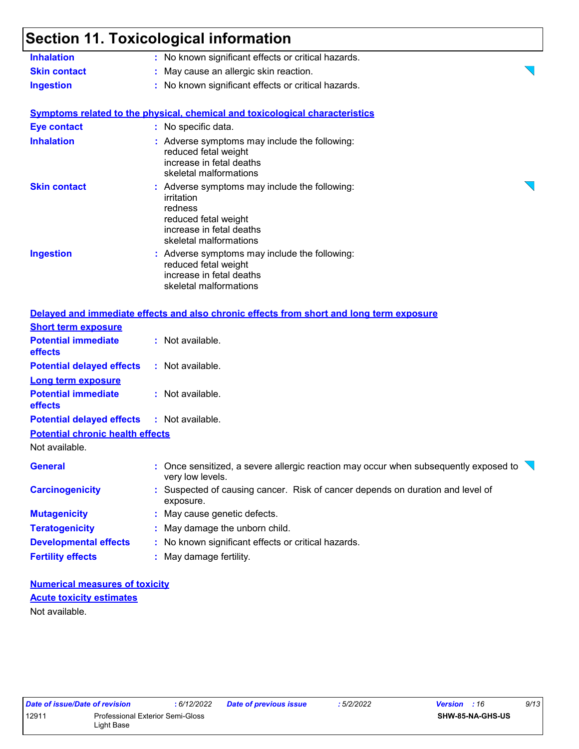### **Section 11. Toxicological information**

| <b>Inhalation</b>                                       | oecuon 11. roxicological information<br>: No known significant effects or critical hazards.                                                          |
|---------------------------------------------------------|------------------------------------------------------------------------------------------------------------------------------------------------------|
| <b>Skin contact</b>                                     | : May cause an allergic skin reaction.                                                                                                               |
| <b>Ingestion</b>                                        | : No known significant effects or critical hazards.                                                                                                  |
|                                                         | <b>Symptoms related to the physical, chemical and toxicological characteristics</b>                                                                  |
| <b>Eye contact</b>                                      | : No specific data.                                                                                                                                  |
| <b>Inhalation</b>                                       | : Adverse symptoms may include the following:<br>reduced fetal weight<br>increase in fetal deaths<br>skeletal malformations                          |
| <b>Skin contact</b>                                     | : Adverse symptoms may include the following:<br>irritation<br>redness<br>reduced fetal weight<br>increase in fetal deaths<br>skeletal malformations |
| <b>Ingestion</b>                                        | : Adverse symptoms may include the following:<br>reduced fetal weight<br>increase in fetal deaths<br>skeletal malformations                          |
|                                                         | Delayed and immediate effects and also chronic effects from short and long term exposure                                                             |
| <b>Short term exposure</b>                              |                                                                                                                                                      |
| <b>Potential immediate</b><br>effects                   | : Not available.                                                                                                                                     |
| <b>Potential delayed effects</b>                        | : Not available.                                                                                                                                     |
| <b>Long term exposure</b><br><b>Potential immediate</b> |                                                                                                                                                      |
| effects                                                 | : Not available.                                                                                                                                     |
| <b>Potential delayed effects</b>                        | : Not available.                                                                                                                                     |
| <b>Potential chronic health effects</b>                 |                                                                                                                                                      |
| Not available.                                          |                                                                                                                                                      |
| <b>General</b>                                          | : Once sensitized, a severe allergic reaction may occur when subsequently exposed to $\overline{\phantom{a}}$<br>very low levels.                    |
| <b>Carcinogenicity</b>                                  | : Suspected of causing cancer. Risk of cancer depends on duration and level of<br>exposure.                                                          |
| <b>Mutagenicity</b>                                     | : May cause genetic defects.                                                                                                                         |
| <b>Teratogenicity</b>                                   | : May damage the unborn child.                                                                                                                       |

**Fertility effects :** May damage fertility.

**Numerical measures of toxicity** Not available. **Acute toxicity estimates**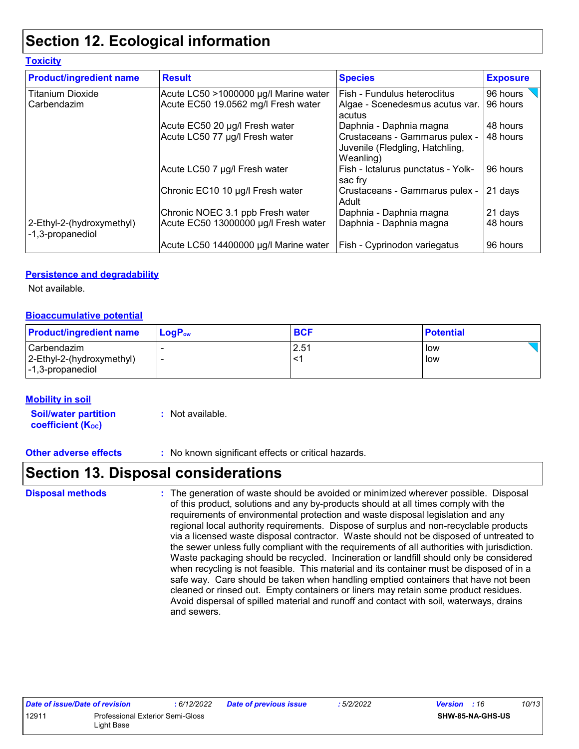### **Section 12. Ecological information**

| <b>Toxicity</b>                               |                                                                              |                                                                                |                      |  |
|-----------------------------------------------|------------------------------------------------------------------------------|--------------------------------------------------------------------------------|----------------------|--|
| <b>Product/ingredient name</b>                | <b>Result</b>                                                                | <b>Species</b>                                                                 | <b>Exposure</b>      |  |
| <b>Titanium Dioxide</b><br>Carbendazim        | Acute LC50 >1000000 µg/l Marine water<br>Acute EC50 19.0562 mg/l Fresh water | Fish - Fundulus heteroclitus<br>Algae - Scenedesmus acutus var.<br>acutus      | 96 hours<br>96 hours |  |
|                                               | Acute EC50 20 µg/l Fresh water                                               | Daphnia - Daphnia magna                                                        | 48 hours             |  |
|                                               | Acute LC50 77 µg/l Fresh water                                               | Crustaceans - Gammarus pulex -<br>Juvenile (Fledgling, Hatchling,<br>Weanling) | 48 hours             |  |
|                                               | Acute LC50 7 µg/l Fresh water                                                | Fish - Ictalurus punctatus - Yolk-<br>sac fry                                  | 96 hours             |  |
|                                               | Chronic EC10 10 µg/l Fresh water                                             | Crustaceans - Gammarus pulex -<br>Adult                                        | 21 days              |  |
|                                               | Chronic NOEC 3.1 ppb Fresh water                                             | Daphnia - Daphnia magna                                                        | 21 days              |  |
| 2-Ethyl-2-(hydroxymethyl)<br>-1,3-propanediol | Acute EC50 13000000 µg/l Fresh water                                         | Daphnia - Daphnia magna                                                        | 48 hours             |  |
|                                               | Acute LC50 14400000 µg/l Marine water                                        | Fish - Cyprinodon variegatus                                                   | 96 hours             |  |

#### **Persistence and degradability**

Not available.

#### **Bioaccumulative potential**

| <b>Product/ingredient name</b>                                   | $\mathsf{LogP}_\mathsf{ow}$ | <b>BCF</b> | <b>Potential</b> |
|------------------------------------------------------------------|-----------------------------|------------|------------------|
| l Carbendazim i<br>2-Ethyl-2-(hydroxymethyl)<br>-1,3-propanediol |                             | 2.51       | low<br>low       |

#### **Mobility in soil**

**Soil/water partition coefficient (K**<sub>oc</sub>) **:** Not available.

**Other adverse effects** : No known significant effects or critical hazards.

### **Section 13. Disposal considerations**

The generation of waste should be avoided or minimized wherever possible. Disposal of this product, solutions and any by-products should at all times comply with the requirements of environmental protection and waste disposal legislation and any regional local authority requirements. Dispose of surplus and non-recyclable products via a licensed waste disposal contractor. Waste should not be disposed of untreated to the sewer unless fully compliant with the requirements of all authorities with jurisdiction. Waste packaging should be recycled. Incineration or landfill should only be considered when recycling is not feasible. This material and its container must be disposed of in a safe way. Care should be taken when handling emptied containers that have not been cleaned or rinsed out. Empty containers or liners may retain some product residues. Avoid dispersal of spilled material and runoff and contact with soil, waterways, drains and sewers. **Disposal methods :**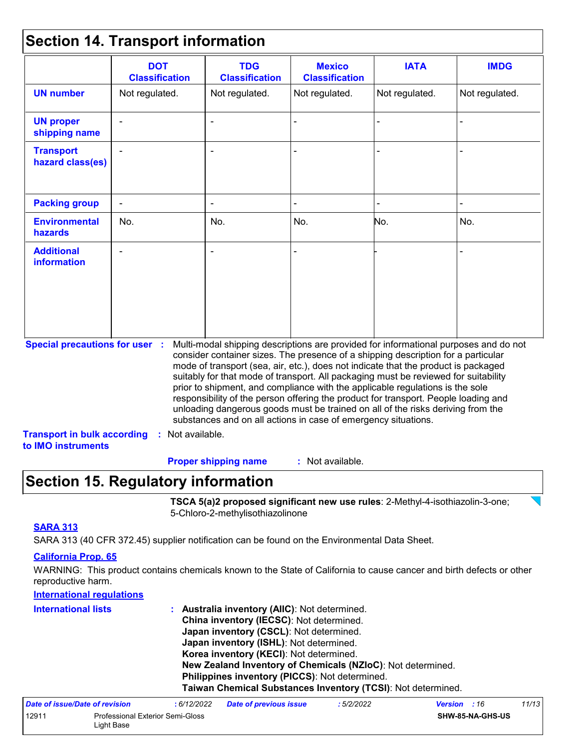### **Section 14. Transport information**

|                                                                                                   | <b>DOT</b><br><b>Classification</b> | <b>TDG</b><br><b>Classification</b>                            | <b>Mexico</b><br><b>Classification</b> | <b>IATA</b>                                                                                                                                                                                                                                                                                                                                                                                                                                                                                                                                                                                                       | <b>IMDG</b>    |
|---------------------------------------------------------------------------------------------------|-------------------------------------|----------------------------------------------------------------|----------------------------------------|-------------------------------------------------------------------------------------------------------------------------------------------------------------------------------------------------------------------------------------------------------------------------------------------------------------------------------------------------------------------------------------------------------------------------------------------------------------------------------------------------------------------------------------------------------------------------------------------------------------------|----------------|
| <b>UN number</b>                                                                                  | Not regulated.                      | Not regulated.                                                 | Not regulated.                         | Not regulated.                                                                                                                                                                                                                                                                                                                                                                                                                                                                                                                                                                                                    | Not regulated. |
| <b>UN proper</b><br>shipping name                                                                 |                                     |                                                                |                                        |                                                                                                                                                                                                                                                                                                                                                                                                                                                                                                                                                                                                                   |                |
| <b>Transport</b><br>hazard class(es)                                                              |                                     |                                                                |                                        |                                                                                                                                                                                                                                                                                                                                                                                                                                                                                                                                                                                                                   |                |
| <b>Packing group</b>                                                                              |                                     |                                                                |                                        |                                                                                                                                                                                                                                                                                                                                                                                                                                                                                                                                                                                                                   |                |
| <b>Environmental</b><br>hazards                                                                   | No.                                 | No.                                                            | No.                                    | No.                                                                                                                                                                                                                                                                                                                                                                                                                                                                                                                                                                                                               | No.            |
| <b>Additional</b><br><b>information</b>                                                           |                                     |                                                                |                                        |                                                                                                                                                                                                                                                                                                                                                                                                                                                                                                                                                                                                                   |                |
| <b>Special precautions for user :</b><br><b>Transport in bulk according</b><br>to IMO instruments | : Not available.                    | substances and on all actions in case of emergency situations. |                                        | Multi-modal shipping descriptions are provided for informational purposes and do not<br>consider container sizes. The presence of a shipping description for a particular<br>mode of transport (sea, air, etc.), does not indicate that the product is packaged<br>suitably for that mode of transport. All packaging must be reviewed for suitability<br>prior to shipment, and compliance with the applicable regulations is the sole<br>responsibility of the person offering the product for transport. People loading and<br>unloading dangerous goods must be trained on all of the risks deriving from the |                |

### **Section 15. Regulatory information**

**TSCA 5(a)2 proposed significant new use rules**: 2-Methyl-4-isothiazolin-3-one; 5-Chloro-2-methylisothiazolinone

#### **SARA 313**

SARA 313 (40 CFR 372.45) supplier notification can be found on the Environmental Data Sheet.

#### **California Prop. 65**

WARNING: This product contains chemicals known to the State of California to cause cancer and birth defects or other reproductive harm.

| <b>International regulations</b> |                                                              |
|----------------------------------|--------------------------------------------------------------|
| <b>International lists</b>       | : Australia inventory (AIIC): Not determined.                |
|                                  | China inventory (IECSC): Not determined.                     |
|                                  | Japan inventory (CSCL): Not determined.                      |
|                                  | Japan inventory (ISHL): Not determined.                      |
|                                  | Korea inventory (KECI): Not determined.                      |
|                                  | New Zealand Inventory of Chemicals (NZIoC): Not determined.  |
|                                  | Philippines inventory (PICCS): Not determined.               |
|                                  | Taiwan Chemical Substances Inventory (TCSI): Not determined. |
|                                  |                                                              |

| Date of issue/Date of revision |                                                | : 6/12/2022 | <b>Date of previous issue</b> | : 5/2/2022 | <b>Version</b> : 16 |                         | 11/13 |
|--------------------------------|------------------------------------------------|-------------|-------------------------------|------------|---------------------|-------------------------|-------|
| 12911                          | Professional Exterior Semi-Gloss<br>Light Base |             |                               |            |                     | <b>SHW-85-NA-GHS-US</b> |       |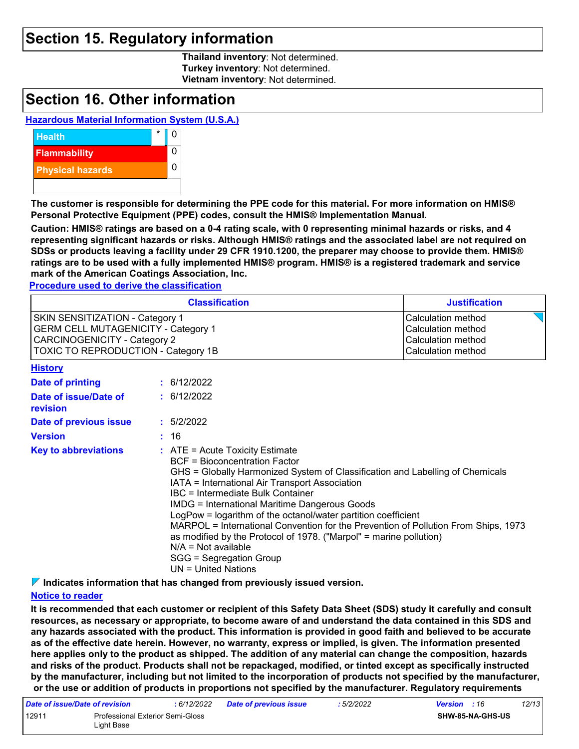### **Section 15. Regulatory information**

**Thailand inventory**: Not determined. **Turkey inventory**: Not determined. **Vietnam inventory**: Not determined.

### **Section 16. Other information**

#### **Hazardous Material Information System (U.S.A.)**



**The customer is responsible for determining the PPE code for this material. For more information on HMIS® Personal Protective Equipment (PPE) codes, consult the HMIS® Implementation Manual.**

**Caution: HMIS® ratings are based on a 0-4 rating scale, with 0 representing minimal hazards or risks, and 4 representing significant hazards or risks. Although HMIS® ratings and the associated label are not required on SDSs or products leaving a facility under 29 CFR 1910.1200, the preparer may choose to provide them. HMIS® ratings are to be used with a fully implemented HMIS® program. HMIS® is a registered trademark and service mark of the American Coatings Association, Inc.**

**Procedure used to derive the classification**

| <b>Classification</b>                      | <b>Justification</b> |
|--------------------------------------------|----------------------|
| <b>SKIN SENSITIZATION - Category 1</b>     | Calculation method   |
| <b>GERM CELL MUTAGENICITY - Category 1</b> | Calculation method   |
| CARCINOGENICITY - Category 2               | Calculation method   |
| <b>TOXIC TO REPRODUCTION - Category 1B</b> | Calculation method   |

**History**

| піэш у                            |                                                                                                                                                                                                                                                                                                                                                                                                                                                                                                                                                                                                                     |
|-----------------------------------|---------------------------------------------------------------------------------------------------------------------------------------------------------------------------------------------------------------------------------------------------------------------------------------------------------------------------------------------------------------------------------------------------------------------------------------------------------------------------------------------------------------------------------------------------------------------------------------------------------------------|
| Date of printing                  | : 6/12/2022                                                                                                                                                                                                                                                                                                                                                                                                                                                                                                                                                                                                         |
| Date of issue/Date of<br>revision | : 6/12/2022                                                                                                                                                                                                                                                                                                                                                                                                                                                                                                                                                                                                         |
| Date of previous issue            | : 5/2/2022                                                                                                                                                                                                                                                                                                                                                                                                                                                                                                                                                                                                          |
| Version                           | : 16                                                                                                                                                                                                                                                                                                                                                                                                                                                                                                                                                                                                                |
| <b>Key to abbreviations</b>       | $\therefore$ ATE = Acute Toxicity Estimate<br>BCF = Bioconcentration Factor<br>GHS = Globally Harmonized System of Classification and Labelling of Chemicals<br>IATA = International Air Transport Association<br>IBC = Intermediate Bulk Container<br><b>IMDG = International Maritime Dangerous Goods</b><br>LogPow = logarithm of the octanol/water partition coefficient<br>MARPOL = International Convention for the Prevention of Pollution From Ships, 1973<br>as modified by the Protocol of 1978. ("Marpol" = marine pollution)<br>$N/A = Not available$<br>SGG = Segregation Group<br>UN = United Nations |

**Indicates information that has changed from previously issued version.**

#### **Notice to reader**

**It is recommended that each customer or recipient of this Safety Data Sheet (SDS) study it carefully and consult resources, as necessary or appropriate, to become aware of and understand the data contained in this SDS and any hazards associated with the product. This information is provided in good faith and believed to be accurate as of the effective date herein. However, no warranty, express or implied, is given. The information presented here applies only to the product as shipped. The addition of any material can change the composition, hazards and risks of the product. Products shall not be repackaged, modified, or tinted except as specifically instructed by the manufacturer, including but not limited to the incorporation of products not specified by the manufacturer, or the use or addition of products in proportions not specified by the manufacturer. Regulatory requirements** 

| Date of issue/Date of revision |                                  | : 6/12/2022 | <b>Date of previous issue</b> | : 5/2/2022 | <b>Version</b> : 16     | 12/13 |  |
|--------------------------------|----------------------------------|-------------|-------------------------------|------------|-------------------------|-------|--|
| 12911                          | Professional Exterior Semi-Gloss |             |                               |            | <b>SHW-85-NA-GHS-US</b> |       |  |
|                                | ∟iɑht Base                       |             |                               |            |                         |       |  |